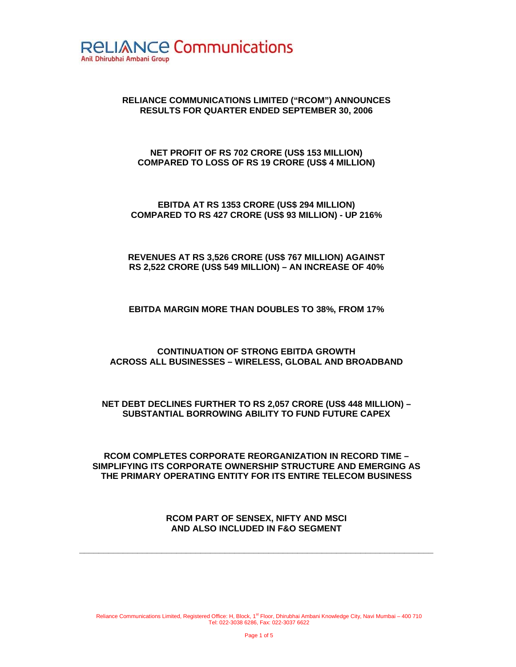

# **RELIANCE COMMUNICATIONS LIMITED ("RCOM") ANNOUNCES RESULTS FOR QUARTER ENDED SEPTEMBER 30, 2006**

### **NET PROFIT OF RS 702 CRORE (US\$ 153 MILLION) COMPARED TO LOSS OF RS 19 CRORE (US\$ 4 MILLION)**

**EBITDA AT RS 1353 CRORE (US\$ 294 MILLION) COMPARED TO RS 427 CRORE (US\$ 93 MILLION) - UP 216%** 

### **REVENUES AT RS 3,526 CRORE (US\$ 767 MILLION) AGAINST RS 2,522 CRORE (US\$ 549 MILLION) – AN INCREASE OF 40%**

### **EBITDA MARGIN MORE THAN DOUBLES TO 38%, FROM 17%**

### **CONTINUATION OF STRONG EBITDA GROWTH ACROSS ALL BUSINESSES – WIRELESS, GLOBAL AND BROADBAND**

### **NET DEBT DECLINES FURTHER TO RS 2,057 CRORE (US\$ 448 MILLION) – SUBSTANTIAL BORROWING ABILITY TO FUND FUTURE CAPEX**

**RCOM COMPLETES CORPORATE REORGANIZATION IN RECORD TIME – SIMPLIFYING ITS CORPORATE OWNERSHIP STRUCTURE AND EMERGING AS THE PRIMARY OPERATING ENTITY FOR ITS ENTIRE TELECOM BUSINESS** 

# **RCOM PART OF SENSEX, NIFTY AND MSCI AND ALSO INCLUDED IN F&O SEGMENT**

**\_\_\_\_\_\_\_\_\_\_\_\_\_\_\_\_\_\_\_\_\_\_\_\_\_\_\_\_\_\_\_\_\_\_\_\_\_\_\_\_\_\_\_\_\_\_\_\_\_\_\_\_\_\_\_\_\_\_\_\_\_\_\_\_\_\_\_\_\_\_\_\_\_**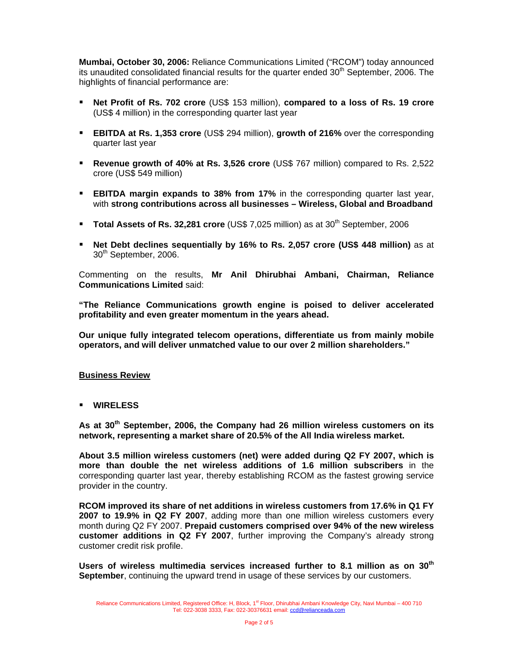**Mumbai, October 30, 2006:** Reliance Communications Limited ("RCOM") today announced its unaudited consolidated financial results for the quarter ended  $30<sup>th</sup>$  September, 2006. The highlights of financial performance are:

- **Net Profit of Rs. 702 crore** (US\$ 153 million), **compared to a loss of Rs. 19 crore** (US\$ 4 million) in the corresponding quarter last year
- **EBITDA at Rs. 1,353 crore** (US\$ 294 million), **growth of 216%** over the corresponding quarter last year
- **Revenue growth of 40% at Rs. 3,526 crore** (US\$ 767 million) compared to Rs. 2,522 crore (US\$ 549 million)
- **EBITDA margin expands to 38% from 17%** in the corresponding quarter last year, with **strong contributions across all businesses – Wireless, Global and Broadband**
- **Total Assets of Rs. 32,281 crore** (US\$ 7,025 million) as at 30<sup>th</sup> September, 2006
- **Net Debt declines sequentially by 16% to Rs. 2,057 crore (US\$ 448 million)** as at 30<sup>th</sup> September, 2006.

Commenting on the results, **Mr Anil Dhirubhai Ambani, Chairman, Reliance Communications Limited** said:

**"The Reliance Communications growth engine is poised to deliver accelerated profitability and even greater momentum in the years ahead.** 

**Our unique fully integrated telecom operations, differentiate us from mainly mobile operators, and will deliver unmatched value to our over 2 million shareholders."** 

#### **Business Review**

**WIRELESS** 

**As at 30th September, 2006, the Company had 26 million wireless customers on its network, representing a market share of 20.5% of the All India wireless market.** 

**About 3.5 million wireless customers (net) were added during Q2 FY 2007, which is more than double the net wireless additions of 1.6 million subscribers** in the corresponding quarter last year, thereby establishing RCOM as the fastest growing service provider in the country.

**RCOM improved its share of net additions in wireless customers from 17.6% in Q1 FY 2007 to 19.9% in Q2 FY 2007**, adding more than one million wireless customers every month during Q2 FY 2007. **Prepaid customers comprised over 94% of the new wireless customer additions in Q2 FY 2007**, further improving the Company's already strong customer credit risk profile.

**Users of wireless multimedia services increased further to 8.1 million as on 30th September**, continuing the upward trend in usage of these services by our customers.

Reliance Communications Limited, Registered Office: H, Block, 1<sup>st</sup> Floor, Dhirubhai Ambani Knowledge City, Navi Mumbai – 400 710 Tel: 022-3038 3333, Fax: 022-30376631 email: ccd@relianceada.com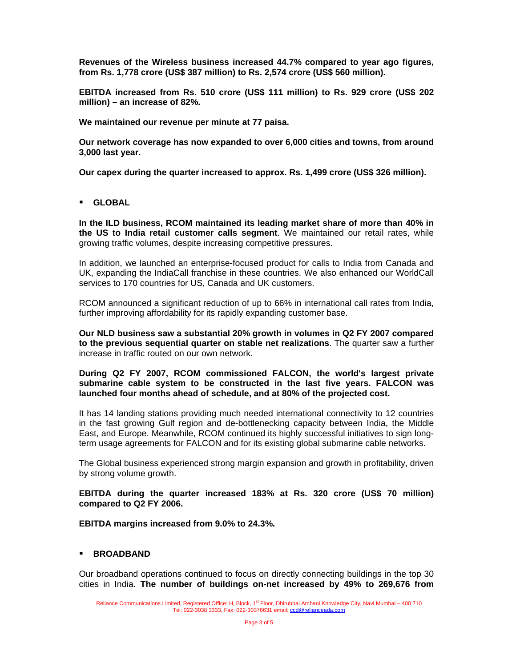**Revenues of the Wireless business increased 44.7% compared to year ago figures, from Rs. 1,778 crore (US\$ 387 million) to Rs. 2,574 crore (US\$ 560 million).** 

**EBITDA increased from Rs. 510 crore (US\$ 111 million) to Rs. 929 crore (US\$ 202 million) – an increase of 82%.** 

**We maintained our revenue per minute at 77 paisa.** 

**Our network coverage has now expanded to over 6,000 cities and towns, from around 3,000 last year.** 

**Our capex during the quarter increased to approx. Rs. 1,499 crore (US\$ 326 million).** 

**GLOBAL** 

**In the ILD business, RCOM maintained its leading market share of more than 40% in the US to India retail customer calls segment**. We maintained our retail rates, while growing traffic volumes, despite increasing competitive pressures.

In addition, we launched an enterprise-focused product for calls to India from Canada and UK, expanding the IndiaCall franchise in these countries. We also enhanced our WorldCall services to 170 countries for US, Canada and UK customers.

RCOM announced a significant reduction of up to 66% in international call rates from India, further improving affordability for its rapidly expanding customer base.

**Our NLD business saw a substantial 20% growth in volumes in Q2 FY 2007 compared to the previous sequential quarter on stable net realizations**. The quarter saw a further increase in traffic routed on our own network.

**During Q2 FY 2007, RCOM commissioned FALCON, the world's largest private submarine cable system to be constructed in the last five years. FALCON was launched four months ahead of schedule, and at 80% of the projected cost.**

It has 14 landing stations providing much needed international connectivity to 12 countries in the fast growing Gulf region and de-bottlenecking capacity between India, the Middle East, and Europe. Meanwhile, RCOM continued its highly successful initiatives to sign longterm usage agreements for FALCON and for its existing global submarine cable networks.

The Global business experienced strong margin expansion and growth in profitability, driven by strong volume growth.

**EBITDA during the quarter increased 183% at Rs. 320 crore (US\$ 70 million) compared to Q2 FY 2006.** 

**EBITDA margins increased from 9.0% to 24.3%.** 

#### **BROADBAND**

Our broadband operations continued to focus on directly connecting buildings in the top 30 cities in India. **The number of buildings on-net increased by 49% to 269,676 from**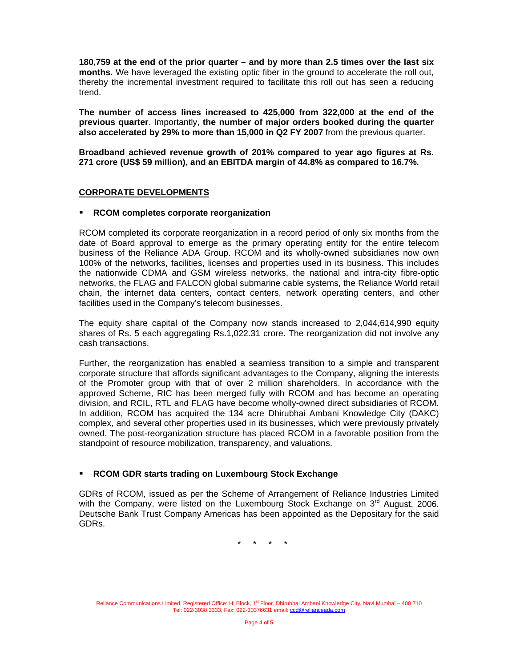**180,759 at the end of the prior quarter – and by more than 2.5 times over the last six months**. We have leveraged the existing optic fiber in the ground to accelerate the roll out, thereby the incremental investment required to facilitate this roll out has seen a reducing trend.

**The number of access lines increased to 425,000 from 322,000 at the end of the previous quarter**. Importantly, **the number of major orders booked during the quarter also accelerated by 29% to more than 15,000 in Q2 FY 2007** from the previous quarter.

**Broadband achieved revenue growth of 201% compared to year ago figures at Rs. 271 crore (US\$ 59 million), and an EBITDA margin of 44.8% as compared to 16.7%.** 

### **CORPORATE DEVELOPMENTS**

#### **RCOM completes corporate reorganization**

RCOM completed its corporate reorganization in a record period of only six months from the date of Board approval to emerge as the primary operating entity for the entire telecom business of the Reliance ADA Group. RCOM and its wholly-owned subsidiaries now own 100% of the networks, facilities, licenses and properties used in its business. This includes the nationwide CDMA and GSM wireless networks, the national and intra-city fibre-optic networks, the FLAG and FALCON global submarine cable systems, the Reliance World retail chain, the internet data centers, contact centers, network operating centers, and other facilities used in the Company's telecom businesses.

The equity share capital of the Company now stands increased to 2,044,614,990 equity shares of Rs. 5 each aggregating Rs.1,022.31 crore. The reorganization did not involve any cash transactions.

Further, the reorganization has enabled a seamless transition to a simple and transparent corporate structure that affords significant advantages to the Company, aligning the interests of the Promoter group with that of over 2 million shareholders. In accordance with the approved Scheme, RIC has been merged fully with RCOM and has become an operating division, and RCIL, RTL and FLAG have become wholly-owned direct subsidiaries of RCOM. In addition, RCOM has acquired the 134 acre Dhirubhai Ambani Knowledge City (DAKC) complex, and several other properties used in its businesses, which were previously privately owned. The post-reorganization structure has placed RCOM in a favorable position from the standpoint of resource mobilization, transparency, and valuations.

#### **RCOM GDR starts trading on Luxembourg Stock Exchange**

GDRs of RCOM, issued as per the Scheme of Arrangement of Reliance Industries Limited with the Company, were listed on the Luxembourg Stock Exchange on 3<sup>rd</sup> August, 2006. Deutsche Bank Trust Company Americas has been appointed as the Depositary for the said GDRs.

\* \* \* \*

Reliance Communications Limited, Registered Office: H, Block, 1<sup>st</sup> Floor, Dhirubhai Ambani Knowledge City, Navi Mumbai – 400 710 Tel: 022-3038 3333, Fax: 022-30376631 email: ccd@relianceada.com